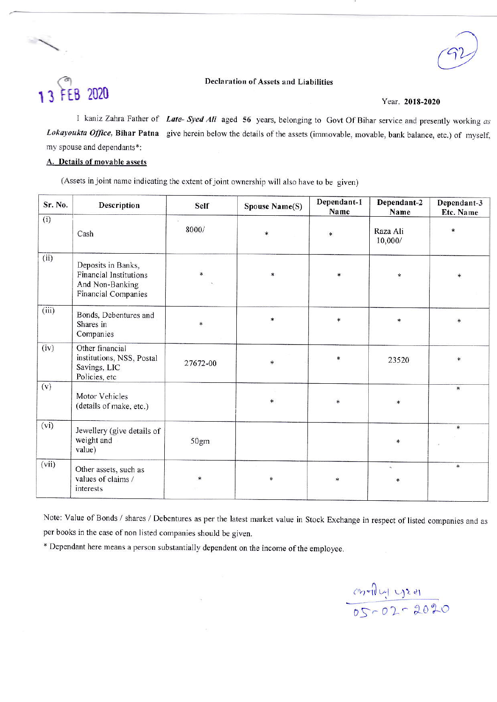#### **Declaration of Assets and Liabilities**

# 13 FEB 2020

#### Year. 2018-2020

I kaniz Zahra Father of Late- Syed Ali aged 56 years, belonging to Govt Of Bihar service and presently working as Lokayoukta Office, Bihar Patna give herein below the details of the assets (immovable, movable, bank balance, etc.) of myself, my spouse and dependants\*:

### A. Details of movable assets

(Assets in joint name indicating the extent of joint ownership will also have to be given)

| Sr. No. | <b>Description</b>                                                                                   | Self     | <b>Spouse Name(S)</b> | Dependant-1<br>Name | Dependant-2<br>Name | Dependant-3<br>Etc. Name |
|---------|------------------------------------------------------------------------------------------------------|----------|-----------------------|---------------------|---------------------|--------------------------|
| (i)     | Cash                                                                                                 | 8000/    | $\ast$                | *                   | Raza Ali<br>10,000/ | ∗                        |
| (ii)    | Deposits in Banks,<br><b>Financial Institutions</b><br>And Non-Banking<br><b>Financial Companies</b> | *        | *                     | $\ast$              | $\ast$              |                          |
| (iii)   | Bonds, Debentures and<br>Shares in<br>Companies                                                      | *        | $\ast$                | ∗                   | *                   | $\ast$                   |
| (iv)    | Other financial<br>institutions, NSS, Postal<br>Savings, LIC<br>Policies, etc                        | 27672-00 | $\ast$                | *                   | 23520               | $\star$                  |
| (v)     | Motor Vehicles<br>(details of make, etc.)                                                            |          | $\ast$                | $\ast$              | $\ast$              | $\ast$                   |
| (vi)    | Jewellery (give details of<br>weight and<br>value)                                                   | 50gm     |                       |                     | *                   | $\ast$                   |
| (vii)   | Other assets, such as<br>values of claims /<br>interests                                             | *        | *                     | $\ast$              | A.<br>*             | $\ast$                   |

Note: Value of Bonds / shares / Debentures as per the latest market value in Stock Exchange in respect of listed companies and as per books in the case of non listed companies should be given.

\* Dependant here means a person substantially dependent on the income of the employee.

 $rac{c_1 + c_2 + d_1}{c_1 - c_2 - d_2 - d_1}$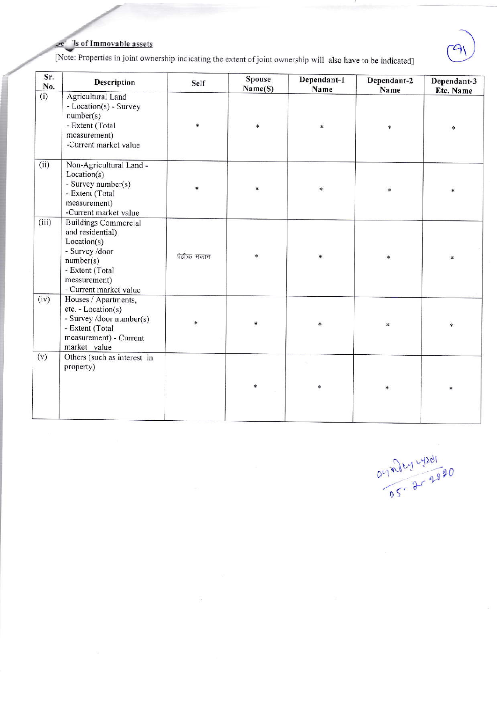## Is of Immovable assets

[Note: Properties in joint ownership indicating the extent of joint ownership will also have to be indicated]

| Sr.<br>No. | Description                                                                                                                                                | Self       | Spouse<br>Name(S) | Dependant-1<br>Name | Dependant-2<br>Name | Dependant-3<br>Etc. Name |
|------------|------------------------------------------------------------------------------------------------------------------------------------------------------------|------------|-------------------|---------------------|---------------------|--------------------------|
| (i)        | Agricultural Land<br>- Location(s) - Survey<br>number(s)<br>- Extent (Total<br>measurement)<br>-Current market value                                       | $*$        | $\ast$            | $\ast$              | *                   | $*$                      |
| (ii)       | Non-Agricultural Land -<br>Location(s)<br>- Survey number(s)<br>- Extent (Total<br>measurement)<br>-Current market value                                   | *          | *                 | $\ast$              | $\ast$              |                          |
| (iii)      | <b>Buildings Commercial</b><br>and residential)<br>Location(s)<br>- Survey /door<br>number(s)<br>- Extent (Total<br>measurement)<br>- Current market value | पैवीक मकान | $\ast$            | $\ast$              | $\ast$              | $\ast$                   |
| (iv)       | Houses / Apartments,<br>etc. - Location(s)<br>- Survey /door number(s)<br>- Extent (Total<br>measurement) - Current<br>market value                        |            | *                 | $\ast$              |                     | $\ast$                   |
| (v)        | Others (such as interest in<br>property)                                                                                                                   |            | $\ast$            | ∗                   | $\ast$              | $\ast$                   |

O470644201